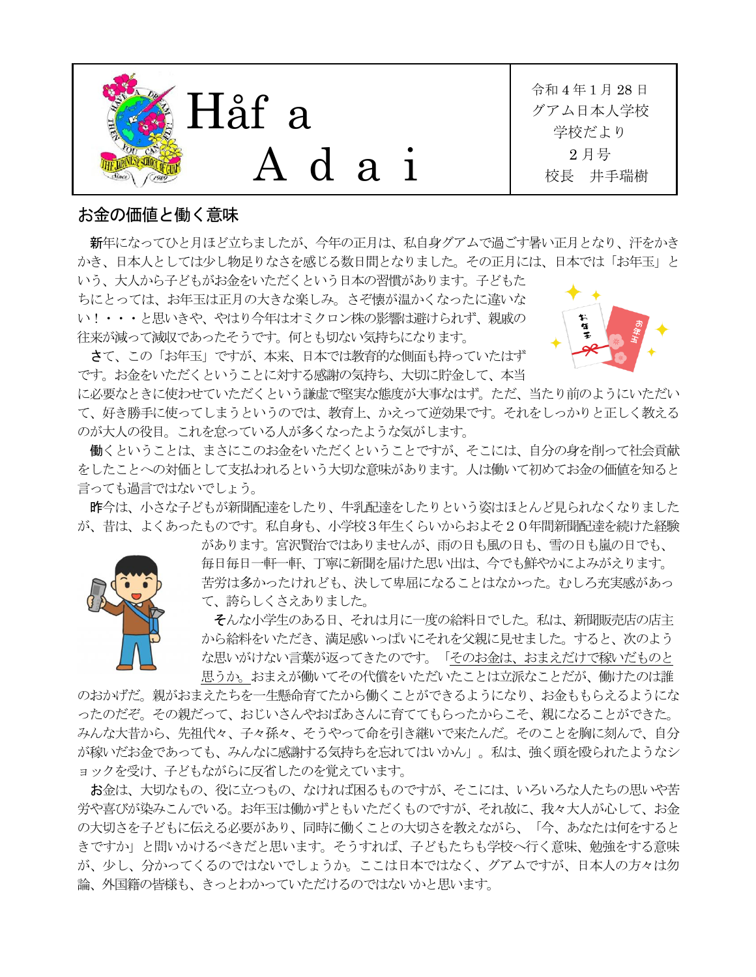

## お金の価値と働く意味

新年になってひと月ほど立ちましたが、今年の正月は、私自身グアムで過ごす暑い正月となり、汗をかき かき、日本人としては少し物足りなさを感じる数日間となりました。その正月には、日本では「お年玉」と いう、大人から子どもがお金をいただくという日本の習慣があります。子どもた

ちにとっては、お年玉は正月の大きな楽しみ。さぞ懐が温かくなったに違いな い!・・・と思いきや、やはり今年はオミクロン株の影響は避けられず、親戚の 往来が減って減収であったそうです。何とも切ない気持ちになります。



さて、この「お年玉」ですが、本来、日本では教育的な側面も持っていたはず です。お金をいただくということに対する感謝の気持ち、大切に貯金して、本当

に必要なときに使わせていただくという謙虚で堅実な態度が大事なはず。ただ、当たり前のようにいただい て、好き勝手に使ってしまうというのでは、教育上、かえって逆効果です。それをしっかりと正しく教える のが大人の役目。これを怠っている人が多くなったような気がします。

働くということは、まさにこのお金をいただくということですが、そこには、自分の身を削って社会貢献 をしたことへの対価として支払われるという大切な意味があります。人は働いて初めてお金の価値を知ると 言っても過言ではないでしょう。

昨今は、小さな子どもが新聞配達をしたり、牛乳配達をしたりという姿はほとんど見られなくなりました が、昔は、よくあったものです。私自身も、小学校3年生くらいからおよそ20年間新聞配達を続けた経験

> があります。宮沢賢治ではありませんが、雨の日も風の日も、雪の日も嵐の日でも、 毎日毎日一軒一軒、丁寧に新聞を届けた思い出は、今でも鮮やかによみがえります。 苦労は多かったけれども、決して卑屈になることはなかった。むしろ充実感があっ て、誇らしくさえありました。

> そんな小学生のある日、それは月に一度の給料日でした。私は、新聞販売店の店主 から給料をいただき、満足感いっぱいにそれを父親に見せました。すると、次のよう な思いがけない言葉が返ってきたのです。「そのお金は、おまえだけで稼いだものと 思うか。おまえが働いてその代償をいただいたことは立派なことだが、働けたのは誰

のおかげだ。親がおまえたちを一生懸命育てたから働くことができるようになり、お金ももらえるようにな ったのだぞ。その親だって、おじいさんやおばあさんに育ててもらったからこそ、親になることができた。 みんな大昔から、先祖代々、子々孫々、そうやって命を引き継いで来たんだ。そのことを胸に刻んで、自分 が稼いだお金であっても、みんなに感謝する気持ちを忘れてはいかん」。私は、強く頭を殴られたようなシ ョックを受け、子どもながらに反省したのを覚えています。

お金は、大切なもの、役に立つもの、なければ困るものですが、そこには、いろいろな人たちの思いや苦 労や喜びが染みこんでいる。お年玉は働かずともいただくものですが、それ故に、我々大人が心して、お金 の大切さを子どもに伝える必要があり、同時に働くことの大切さを教えながら、「今、あなたは何をすると きですか」と問いかけるべきだと思います。そうすれば、子どもたちも学校へ行く意味、勉強をする意味 が、少し、分かってくるのではないでしょうか。ここは日本ではなく、グアムですが、日本人の方々は勿 論、外国籍の皆様も、きっとわかっていただけるのではないかと思います。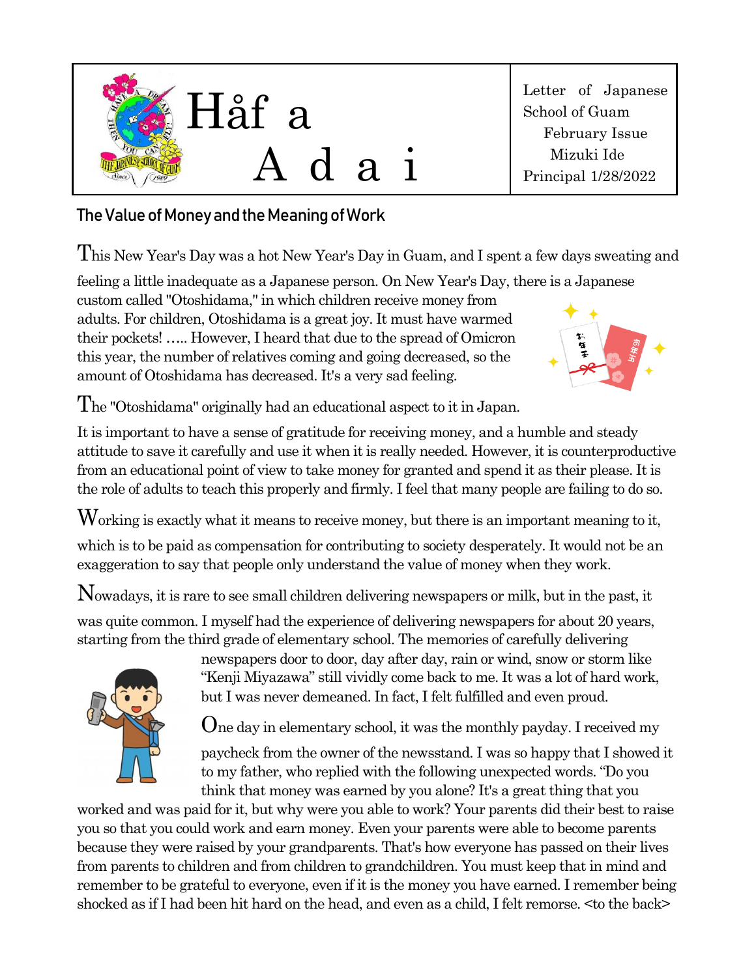

Letter of Japanese School of Guam February Issue Mizuki Ide Principal 1/28/2022

## The Value of Money and the Meaning of Work

This New Year's Day was a hot New Year's Day in Guam, and I spent a few days sweating and

feeling a little inadequate as a Japanese person. On New Year's Day, there is a Japanese

custom called "Otoshidama," in which children receive money from adults. For children, Otoshidama is a great joy. It must have warmed their pockets! ….. However, I heard that due to the spread of Omicron this year, the number of relatives coming and going decreased, so the amount of Otoshidama has decreased. It's a very sad feeling.



The "Otoshidama" originally had an educational aspect to it in Japan.

It is important to have a sense of gratitude for receiving money, and a humble and steady attitude to save it carefully and use it when it is really needed. However, it is counterproductive from an educational point of view to take money for granted and spend it as their please. It is the role of adults to teach this properly and firmly. I feel that many people are failing to do so.

Working is exactly what it means to receive money, but there is an important meaning to it,

which is to be paid as compensation for contributing to society desperately. It would not be an exaggeration to say that people only understand the value of money when they work.

Nowadays, it is rare to see small children delivering newspapers or milk, but in the past, it

was quite common. I myself had the experience of delivering newspapers for about 20 years, starting from the third grade of elementary school. The memories of carefully delivering



newspapers door to door, day after day, rain or wind, snow or storm like "Kenji Miyazawa" still vividly come back to me. It was a lot of hard work, but I was never demeaned. In fact, I felt fulfilled and even proud.

One day in elementary school, it was the monthly payday. I received my

paycheck from the owner of the newsstand. I was so happy that I showed it to my father, who replied with the following unexpected words. "Do you think that money was earned by you alone? It's a great thing that you

worked and was paid for it, but why were you able to work? Your parents did their best to raise you so that you could work and earn money. Even your parents were able to become parents because they were raised by your grandparents. That's how everyone has passed on their lives from parents to children and from children to grandchildren. You must keep that in mind and remember to be grateful to everyone, even if it is the money you have earned. I remember being shocked as if I had been hit hard on the head, and even as a child, I felt remorse. <to the back>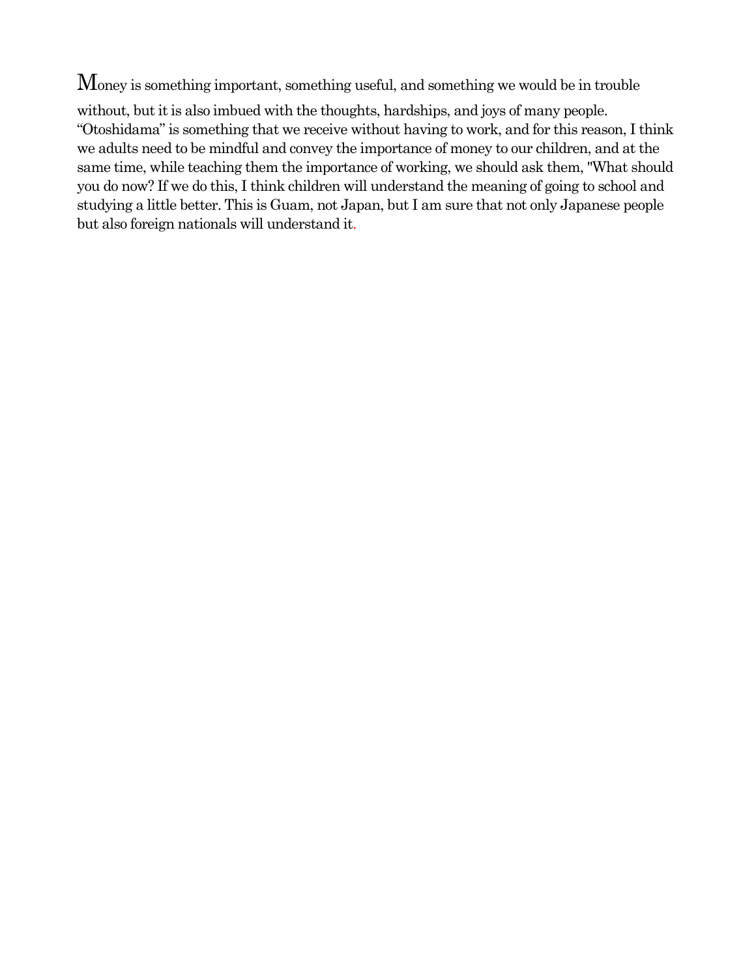Money is something important, something useful, and something we would be in trouble

without, but it is also imbued with the thoughts, hardships, and joys of many people. "Otoshidama" is something that we receive without having to work, and for this reason, I think we adults need to be mindful and convey the importance of money to our children, and at the same time, while teaching them the importance of working, we should ask them, "What should you do now? If we do this, I think children will understand the meaning of going to school and studying a little better. This is Guam, not Japan, but I am sure that not only Japanese people but also foreign nationals will understand it.